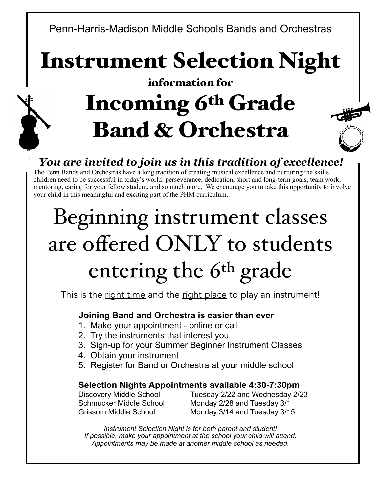Penn-Harris-Madison Middle Schools Bands and Orchestras

Instrument Selection Night

## information for Incoming 6th Grade Band & Orchestra



## *You are invited to join us in this tradition of excellence!*

The Penn Bands and Orchestras have a long tradition of creating musical excellence and nurturing the skills children need to be successful in today's world: perseverance, dedication, short and long-term goals, team work, mentoring, caring for your fellow student, and so much more. We encourage you to take this opportunity to involve your child in this meaningful and exciting part of the PHM curriculum.

# Beginning instrument classes are offered ONLY to students entering the 6<sup>th</sup> grade

This is the right time and the right place to play an instrument!

## **Joining Band and Orchestra is easier than ever**

- 1. Make your appointment online or call
- 2. Try the instruments that interest you
- 3. Sign-up for your Summer Beginner Instrument Classes
- 4. Obtain your instrument
- 5. Register for Band or Orchestra at your middle school

## **Selection Nights Appointments available 4:30-7:30pm**

Discovery Middle School Tuesday 2/22 and Wednesday 2/23 Schmucker Middle School Monday 2/28 and Tuesday 3/1 Grissom Middle School Monday 3/14 and Tuesday 3/15

*Instrument Selection Night is for both parent and student! If possible, make your appointment at the school your child will attend. Appointments may be made at another middle school as needed.*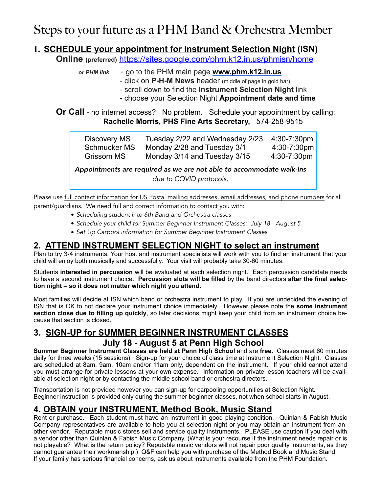## Steps to your future as a PHM Band & Orchestra Member

#### **1. SCHEDULE your appointment for Instrument Selection Night (ISN)**

**Online (preferred)** <https://sites.google.com/phm.k12.in.us/phmisn/home>

- *or PHM link*  go to the PHM main page **[www.phm.k12.in.us](http://www.phm.k12.in.us/)**
	- click on **P-H-M News** header (middle of page in gold bar)
		- scroll down to find the **Instrument Selection Night** link
	- choose your Selection Night **Appointment date and time**

**Or Call** - no internet access? No problem. Schedule your appointment by calling: **Rachelle Morris, PHS Fine Arts Secretary,** 574-258-9515

| Discovery MS | Tuesday 2/22 and Wednesday 2/23 | 4:30-7:30pm |
|--------------|---------------------------------|-------------|
| Schmucker MS | Monday 2/28 and Tuesday 3/1     | 4:30-7:30pm |
| Grissom MS   | Monday 3/14 and Tuesday 3/15    | 4:30-7:30pm |

*Appointments are required as we are not able to accommodate walk-ins due to COVID protocols.*

Please use full contact information for US Postal mailing addresses, email addresses, and phone numbers for all parent/guardians. We need full and correct information to contact you with:

- *• Scheduling student into 6th Band and Orchestra classes*
- *• Schedule your child for Summer Beginner Instrument Classes: July 18 August 5*
- *• Set Up Carpool information for Summer Beginner Instrument Classes*

#### **2. ATTEND INSTRUMENT SELECTION NIGHT to select an instrument**

Plan to try 3-4 instruments. Your host and instrument specialists will work with you to find an instrument that your child will enjoy both musically and successfully. Your visit will probably take 30-60 minutes.

Students **interested in percussion** will be evaluated at each selection night. Each percussion candidate needs to have a second instrument choice. **Percussion slots will be filled** by the band directors **after the final selection night – so it does not matter which night you attend.**

Most families will decide at ISN which band or orchestra instrument to play. If you are undecided the evening of ISN that is OK to not declare your instrument choice immediately. However please note the **some instrument section close due to filling up quickly**, so later decisions might keep your child from an instrument choice because that section is closed.

## **3. SIGN-UP for SUMMER BEGINNER INSTRUMENT CLASSES July 18 - August 5 at Penn High School**

**Summer Beginner Instrument Classes are held at Penn High School** and are **free.** Classes meet 60 minutes daily for three weeks (15 sessions). Sign-up for your choice of class time at Instrument Selection Night. Classes are scheduled at 8am, 9am, 10am and/or 11am only, dependent on the instrument. If your child cannot attend you must arrange for private lessons at your own expense. Information on private lesson teachers will be available at selection night or by contacting the middle school band or orchestra directors.

Transportation is not provided however you can sign-up for carpooling opportunities at Selection Night. Beginner instruction is provided only during the summer beginner classes, not when school starts in August.

## **4. OBTAIN your INSTRUMENT, Method Book, Music Stand**

Rent or purchase. Each student must have an instrument in good playing condition. Quinlan & Fabish Music Company representatives are available to help you at selection night or you may obtain an instrument from another vendor. Reputable music stores sell and service quality instruments. PLEASE use caution if you deal with a vendor other than Quinlan & Fabish Music Company. (What is your recourse if the instrument needs repair or is not playable? What is the return policy? Reputable music vendors will not repair poor quality instruments, as they cannot guarantee their workmanship.) Q&F can help you with purchase of the Method Book and Music Stand. If your family has serious financial concerns, ask us about instruments available from the PHM Foundation.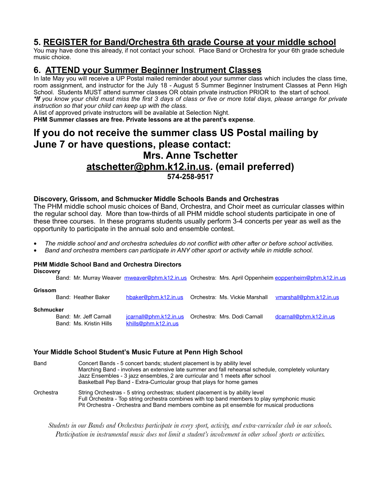#### **5. REGISTER for Band/Orchestra 6th grade Course at your middle school**

You may have done this already, if not contact your school. Place Band or Orchestra for your 6th grade schedule music choice.

#### **6. ATTEND your Summer Beginner Instrument Classes**

In late May you will receive a UP Postal mailed reminder about your summer class which includes the class time, room assignment, and instructor for the July 18 - August 5 Summer Beginner Instrument Classes at Penn High School. Students MUST attend summer classes OR obtain private instruction PRIOR to the start of school. *\*If you know your child must miss the first 3 days of class or five or more total days, please arrange for private instruction so that your child can keep up with the class.*

A list of approved private instructors will be available at Selection Night.

**PHM Summer classes are free. Private lessons are at the parent's expense**.

## **If you do not receive the summer class US Postal mailing by June 7 or have questions, please contact: Mrs. Anne Tschetter [atschetter@phm.k12.in.us.](mailto:atschetter@phm.k12.in.us) (email preferred) 574-258-9517**

#### **Discovery, Grissom, and Schmucker Middle Schools Bands and Orchestras**

The PHM middle school music choices of Band, Orchestra, and Choir meet as curricular classes within the regular school day. More than tow-thirds of all PHM middle school students participate in one of these three courses. In these programs students usually perform 3-4 concerts per year as well as the opportunity to participate in the annual solo and ensemble contest.

- *• The middle school and and orchestra schedules do not conflict with other after or before school activities.*
- *• Band and orchestra members can participate in ANY other sport or activity while in middle school.*

#### **PHM Middle School Band and Orchestra Directors Discovery**

Band: Mr. Murray Weaver [mweaver@phm.k12.in.us](mailto:mweaver@phm.k12.in.us) Orchestra: Mrs. April Oppenheim [eoppenheim@phm.k12.in.us](mailto:eoppenheim@phm.k12.in.us) **Grissom**  Band: Heather Baker [hbaker@phm.k12.in.us](mailto:hbaker@phm.k12.in.us) Orchestra: Ms. Vickie Marshall [vmarshall@phm.k12.in.us](mailto:vmarshall@phm.k12.in.us) **Schmucker** Band: Mr. Jeff Carnall *icarnall@phm.k12.in.us* Orchestra: Mrs. Dodi Carnall [dcarnall@phm.k12.in.us](mailto:dcarnall@phm.k12.in.us) Band: Ms. Kristin Hills [khills@phm.k12.in.us](mailto:khills@phm.k12.in.us)

#### **Your Middle School Student's Music Future at Penn High School**

Band Concert Bands - 5 concert bands; student placement is by ability level Marching Band - involves an extensive late summer and fall rehearsal schedule, completely voluntary Jazz Ensembles - 3 jazz ensembles, 2 are curricular and 1 meets after school Basketball Pep Band - Extra-Curricular group that plays for home games Orchestra String Orchestras - 5 string orchestras; student placement is by ability level Full Orchestra - Top string orchestra combines with top band members to play symphonic music Pit Orchestra - Orchestra and Band members combine as pit ensemble for musical productions

*Students in our Bands and Orchestras participate in every sport, activity, and extra-curricular club in our schools. Participation in instrumental music does not limit a student's involvement in other school sports or activities.*